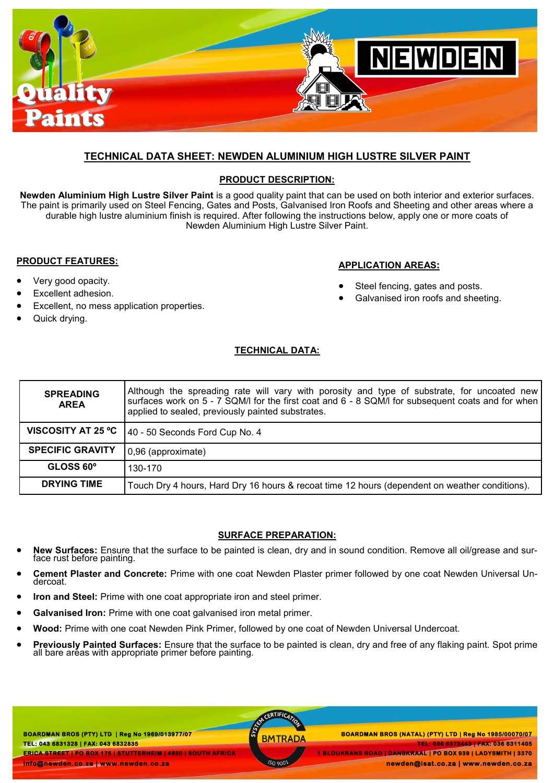

### **TECHNICAL DATA SHEET: NEWDEN ALUMINIUM HIGH LUSTRE SILVER PAINT**

### **PRODUCT DESCRIPTION:**

**Newden Aluminium High Lustre Silver Paint** is a good quality paint that can be used on both interior and exterior surfaces. The paint is primarily used on Steel Fencing, Gates and Posts, Galvanised Iron Roofs and Sheeting and other areas where a durable high lustre aluminium finish is required. After following the instructions below, apply one or more coats of Newden Aluminium High Lustre Silver Paint.

#### **PRODUCT FEATURES:**

- Very good opacity.
- Excellent adhesion.
- Excellent, no mess application properties.
- Quick drying.

### **APPLICATION AREAS:**

- Steel fencing, gates and posts.
- Galvanised iron roofs and sheeting.

### **TECHNICAL DATA:**

| <b>SPREADING</b><br><b>AREA</b> | Although the spreading rate will vary with porosity and type of substrate, for uncoated new<br>surfaces work on 5 - 7 SQM/I for the first coat and 6 - 8 SQM/I for subsequent coats and for when<br>applied to sealed, previously painted substrates. |
|---------------------------------|-------------------------------------------------------------------------------------------------------------------------------------------------------------------------------------------------------------------------------------------------------|
| VISCOSITY AT 25 °C              | 40 - 50 Seconds Ford Cup No. 4                                                                                                                                                                                                                        |
| <b>SPECIFIC GRAVITY</b>         | 0,96 (approximate)                                                                                                                                                                                                                                    |
| GLOSS 60°                       | 130-170                                                                                                                                                                                                                                               |
| <b>DRYING TIME</b>              | Touch Dry 4 hours, Hard Dry 16 hours & recoat time 12 hours (dependent on weather conditions).                                                                                                                                                        |

### **SURFACE PREPARATION:**

- **New Surfaces:** Ensure that the surface to be painted is clean, dry and in sound condition. Remove all oil/grease and surface rust before painting.
- **Cement Plaster and Concrete:** Prime with one coat Newden Plaster primer followed by one coat Newden Universal Undercoat.
- **Iron and Steel:** Prime with one coat appropriate iron and steel primer.
- **Galvanised Iron:** Prime with one coat galvanised iron metal primer.
- **Wood:** Prime with one coat Newden Pink Primer, followed by one coat of Newden Universal Undercoat.
- **Previously Painted Surfaces:** Ensure that the surface to be painted is clean, dry and free of any flaking paint. Spot prime all bare areas with appropriate primer before painting.

**BOARDMAN BROS (PTY) LTD | Reg No 1969/013977/07 TEL: 043 6831328 | FAX: 043 6832835 ERICA STREET | PO BOX 175 | STUTTERHEIM | 4930 | SOUTH AFRICA info@newden.co.za | www.newden.co.za** 

AN CERTIFICAT

 **BOARDMAN BROS (PTY) LTD | Reg No 1969/013977/07 BOARDMAN BROS (NATAL) (PTY) LTD | Reg No 1985/00070/07 TEL: 036 6373443 | FAX: 036 6311405 1 BLOUKRANS ROAD | DANSKRAAL | PO BOX 939 | LADYSMITH | 3370 newden@isat.co.za | www.newden.co.za**